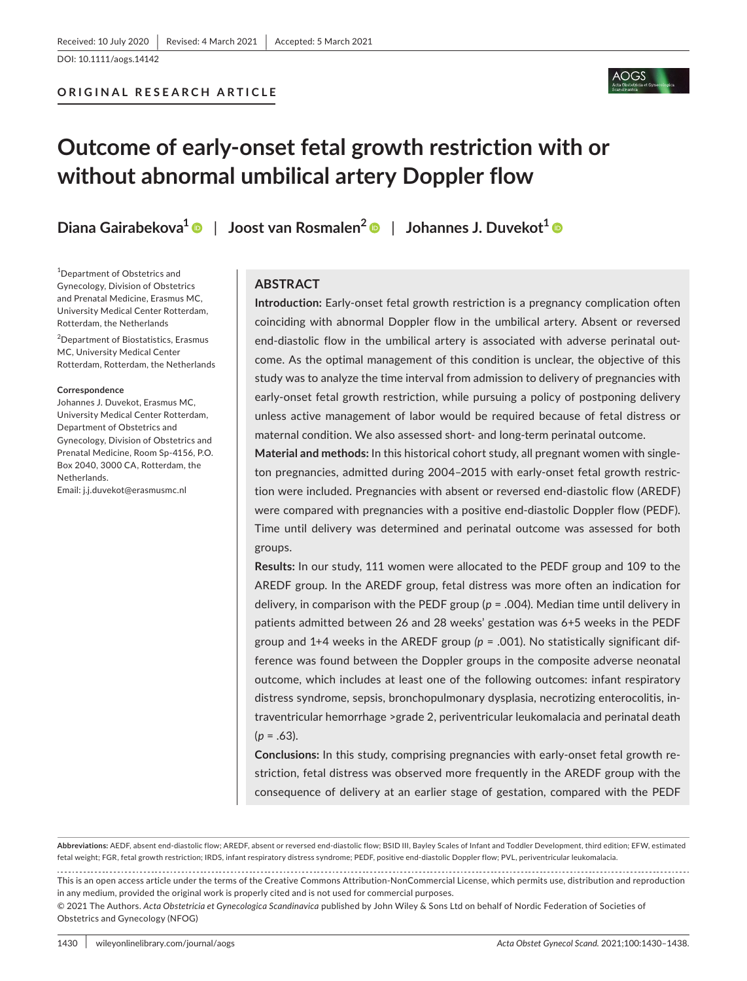DOI: 10.1111/aogs.14142



# **Outcome of early-onset fetal growth restriction with or without abnormal umbilical artery Doppler flow**

**Diana Gairabekova1** | **Joost van Rosmalen[2](https://orcid.org/0000-0002-9187-244X)** | **Johannes J. Duvekot[1](https://orcid.org/0000-0003-3191-9362)**

<sup>1</sup>Department of Obstetrics and Gynecology, Division of Obstetrics and Prenatal Medicine, Erasmus MC, University Medical Center Rotterdam, Rotterdam, the Netherlands

2 Department of Biostatistics, Erasmus MC, University Medical Center Rotterdam, Rotterdam, the Netherlands

#### **Correspondence**

Johannes J. Duvekot, Erasmus MC, University Medical Center Rotterdam, Department of Obstetrics and Gynecology, Division of Obstetrics and Prenatal Medicine, Room Sp-4156, P.O. Box 2040, 3000 CA, Rotterdam, the Netherlands.

#### Email: [j.j.duvekot@erasmusmc.nl](mailto:j.j.duvekot@erasmusmc.nl)

# **ABSTRACT**

**Introduction:** Early-onset fetal growth restriction is a pregnancy complication often coinciding with abnormal Doppler flow in the umbilical artery. Absent or reversed end-diastolic flow in the umbilical artery is associated with adverse perinatal outcome. As the optimal management of this condition is unclear, the objective of this study was to analyze the time interval from admission to delivery of pregnancies with early-onset fetal growth restriction, while pursuing a policy of postponing delivery unless active management of labor would be required because of fetal distress or maternal condition. We also assessed short- and long-term perinatal outcome.

**Material and methods:** In this historical cohort study, all pregnant women with singleton pregnancies, admitted during 2004–2015 with early-onset fetal growth restriction were included. Pregnancies with absent or reversed end-diastolic flow (AREDF) were compared with pregnancies with a positive end-diastolic Doppler flow (PEDF). Time until delivery was determined and perinatal outcome was assessed for both groups.

**Results:** In our study, 111 women were allocated to the PEDF group and 109 to the AREDF group. In the AREDF group, fetal distress was more often an indication for delivery, in comparison with the PEDF group (*p* = .004). Median time until delivery in patients admitted between 26 and 28 weeks' gestation was 6+5 weeks in the PEDF group and  $1+4$  weeks in the AREDF group  $(p = .001)$ . No statistically significant difference was found between the Doppler groups in the composite adverse neonatal outcome, which includes at least one of the following outcomes: infant respiratory distress syndrome, sepsis, bronchopulmonary dysplasia, necrotizing enterocolitis, intraventricular hemorrhage >grade 2, periventricular leukomalacia and perinatal death  $(p = .63)$ .

**Conclusions:** In this study, comprising pregnancies with early-onset fetal growth restriction, fetal distress was observed more frequently in the AREDF group with the consequence of delivery at an earlier stage of gestation, compared with the PEDF

**Abbreviations:** AEDF, absent end-diastolic flow; AREDF, absent or reversed end-diastolic flow; BSID III, Bayley Scales of Infant and Toddler Development, third edition; EFW, estimated fetal weight; FGR, fetal growth restriction; IRDS, infant respiratory distress syndrome; PEDF, positive end-diastolic Doppler flow; PVL, periventricular leukomalacia.

This is an open access article under the terms of the [Creative Commons Attribution-NonCommercial](http://creativecommons.org/licenses/by-nc/4.0/) License, which permits use, distribution and reproduction in any medium, provided the original work is properly cited and is not used for commercial purposes.

© 2021 The Authors. *Acta Obstetricia et Gynecologica Scandinavica* published by John Wiley & Sons Ltd on behalf of Nordic Federation of Societies of Obstetrics and Gynecology (NFOG)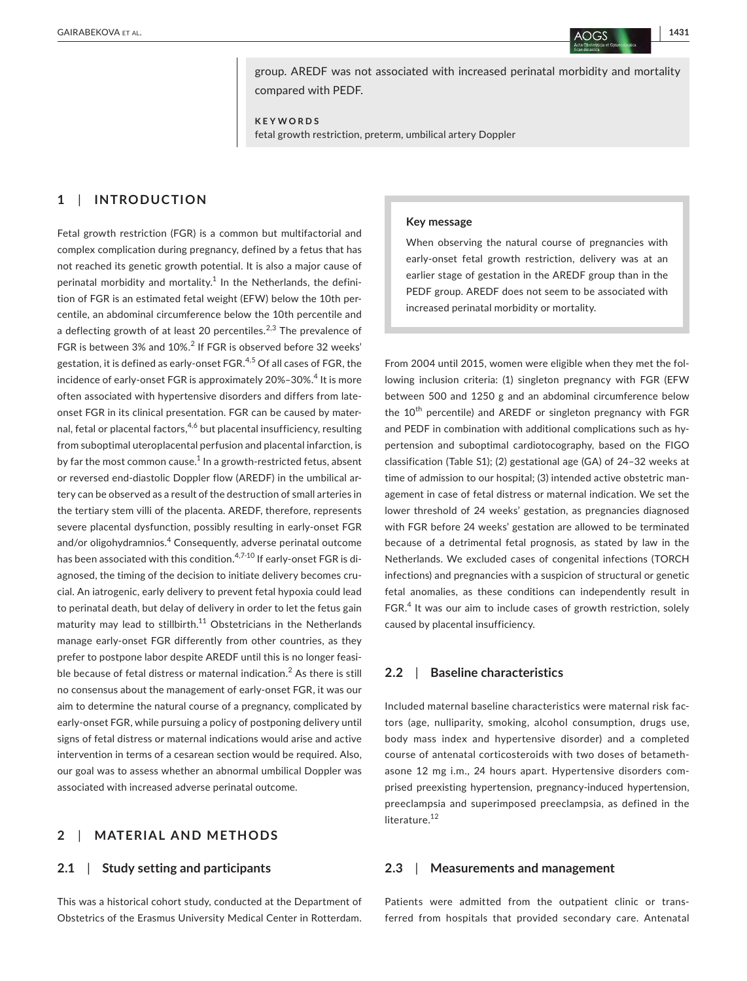group. AREDF was not associated with increased perinatal morbidity and mortality compared with PEDF.

**KEYWORDS**

fetal growth restriction, preterm, umbilical artery Doppler

# **1**  | **INTRODUCTION**

Fetal growth restriction (FGR) is a common but multifactorial and complex complication during pregnancy, defined by a fetus that has not reached its genetic growth potential. It is also a major cause of perinatal morbidity and mortality. $1$  In the Netherlands, the definition of FGR is an estimated fetal weight (EFW) below the 10th percentile, an abdominal circumference below the 10th percentile and a deflecting growth of at least 20 percentiles.<sup>2,3</sup> The prevalence of FGR is between 3% and  $10\%$ <sup>2</sup> If FGR is observed before 32 weeks' gestation, it is defined as early-onset FGR.<sup>4,5</sup> Of all cases of FGR, the incidence of early-onset FGR is approximately 20%–30%. $^{\rm 4}$  It is more often associated with hypertensive disorders and differs from lateonset FGR in its clinical presentation. FGR can be caused by maternal, fetal or placental factors,  $4,6$  but placental insufficiency, resulting from suboptimal uteroplacental perfusion and placental infarction, is by far the most common cause. $^{\rm 1}$  In a growth-restricted fetus, absent or reversed end-diastolic Doppler flow (AREDF) in the umbilical artery can be observed as a result of the destruction of small arteries in the tertiary stem villi of the placenta. AREDF, therefore, represents severe placental dysfunction, possibly resulting in early-onset FGR and/or oligohydramnios.<sup>4</sup> Consequently, adverse perinatal outcome has been associated with this condition.<sup>4,7-10</sup> If early-onset FGR is diagnosed, the timing of the decision to initiate delivery becomes crucial. An iatrogenic, early delivery to prevent fetal hypoxia could lead to perinatal death, but delay of delivery in order to let the fetus gain maturity may lead to stillbirth. $11$  Obstetricians in the Netherlands manage early-onset FGR differently from other countries, as they prefer to postpone labor despite AREDF until this is no longer feasible because of fetal distress or maternal indication. $^2$  As there is still no consensus about the management of early-onset FGR, it was our aim to determine the natural course of a pregnancy, complicated by early-onset FGR, while pursuing a policy of postponing delivery until signs of fetal distress or maternal indications would arise and active intervention in terms of a cesarean section would be required. Also, our goal was to assess whether an abnormal umbilical Doppler was associated with increased adverse perinatal outcome.

# **2**  | **MATERIAL AND METHODS**

## **2.1**  | **Study setting and participants**

This was a historical cohort study, conducted at the Department of Obstetrics of the Erasmus University Medical Center in Rotterdam.

#### **Key message**

When observing the natural course of pregnancies with early-onset fetal growth restriction, delivery was at an earlier stage of gestation in the AREDF group than in the PEDF group. AREDF does not seem to be associated with increased perinatal morbidity or mortality.

From 2004 until 2015, women were eligible when they met the following inclusion criteria: (1) singleton pregnancy with FGR (EFW between 500 and 1250 g and an abdominal circumference below the 10<sup>th</sup> percentile) and AREDF or singleton pregnancy with FGR and PEDF in combination with additional complications such as hypertension and suboptimal cardiotocography, based on the FIGO classification (Table S1); (2) gestational age (GA) of 24–32 weeks at time of admission to our hospital; (3) intended active obstetric management in case of fetal distress or maternal indication. We set the lower threshold of 24 weeks' gestation, as pregnancies diagnosed with FGR before 24 weeks' gestation are allowed to be terminated because of a detrimental fetal prognosis, as stated by law in the Netherlands. We excluded cases of congenital infections (TORCH infections) and pregnancies with a suspicion of structural or genetic fetal anomalies, as these conditions can independently result in FGR.<sup>4</sup> It was our aim to include cases of growth restriction, solely caused by placental insufficiency.

#### **2.2**  | **Baseline characteristics**

Included maternal baseline characteristics were maternal risk factors (age, nulliparity, smoking, alcohol consumption, drugs use, body mass index and hypertensive disorder) and a completed course of antenatal corticosteroids with two doses of betamethasone 12 mg i.m., 24 hours apart. Hypertensive disorders comprised preexisting hypertension, pregnancy-induced hypertension, preeclampsia and superimposed preeclampsia, as defined in the literature.<sup>12</sup>

## **2.3**  | **Measurements and management**

Patients were admitted from the outpatient clinic or transferred from hospitals that provided secondary care. Antenatal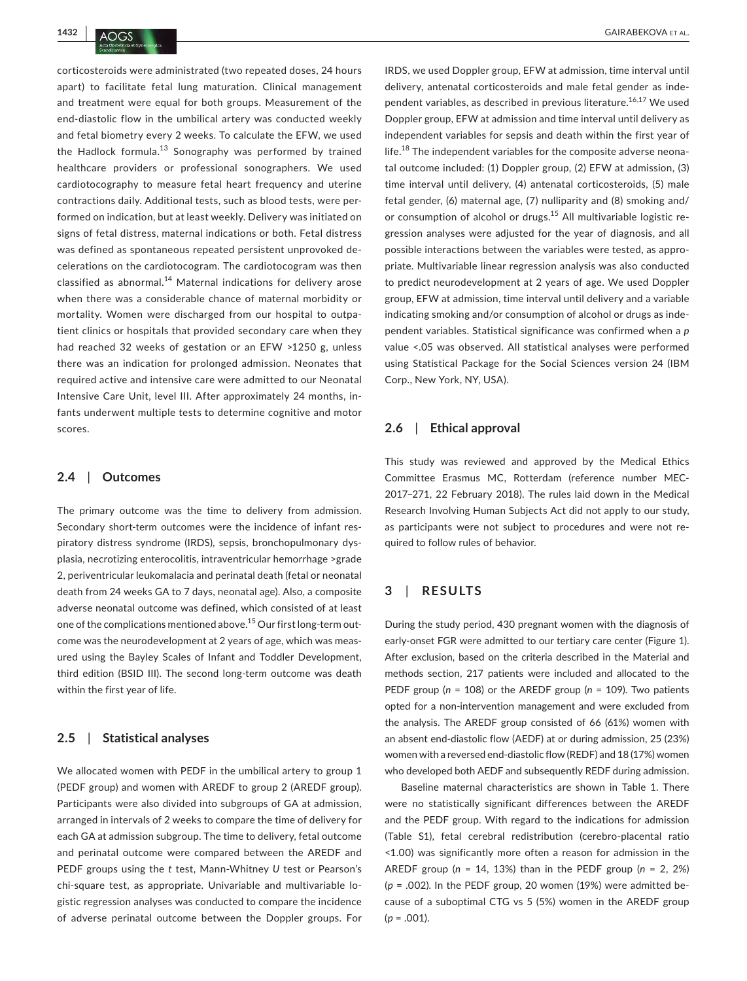corticosteroids were administrated (two repeated doses, 24 hours apart) to facilitate fetal lung maturation. Clinical management and treatment were equal for both groups. Measurement of the end-diastolic flow in the umbilical artery was conducted weekly and fetal biometry every 2 weeks. To calculate the EFW, we used the Hadlock formula.<sup>13</sup> Sonography was performed by trained healthcare providers or professional sonographers. We used cardiotocography to measure fetal heart frequency and uterine contractions daily. Additional tests, such as blood tests, were performed on indication, but at least weekly. Delivery was initiated on signs of fetal distress, maternal indications or both. Fetal distress was defined as spontaneous repeated persistent unprovoked decelerations on the cardiotocogram. The cardiotocogram was then classified as abnormal. $14$  Maternal indications for delivery arose when there was a considerable chance of maternal morbidity or mortality. Women were discharged from our hospital to outpatient clinics or hospitals that provided secondary care when they had reached 32 weeks of gestation or an EFW >1250 g, unless there was an indication for prolonged admission. Neonates that required active and intensive care were admitted to our Neonatal Intensive Care Unit, level III. After approximately 24 months, infants underwent multiple tests to determine cognitive and motor scores.

## **2.4**  | **Outcomes**

The primary outcome was the time to delivery from admission. Secondary short-term outcomes were the incidence of infant respiratory distress syndrome (IRDS), sepsis, bronchopulmonary dysplasia, necrotizing enterocolitis, intraventricular hemorrhage >grade 2, periventricular leukomalacia and perinatal death (fetal or neonatal death from 24 weeks GA to 7 days, neonatal age). Also, a composite adverse neonatal outcome was defined, which consisted of at least one of the complications mentioned above.<sup>15</sup> Our first long-term outcome was the neurodevelopment at 2 years of age, which was measured using the Bayley Scales of Infant and Toddler Development, third edition (BSID III). The second long-term outcome was death within the first year of life.

## **2.5**  | **Statistical analyses**

We allocated women with PEDF in the umbilical artery to group 1 (PEDF group) and women with AREDF to group 2 (AREDF group). Participants were also divided into subgroups of GA at admission, arranged in intervals of 2 weeks to compare the time of delivery for each GA at admission subgroup. The time to delivery, fetal outcome and perinatal outcome were compared between the AREDF and PEDF groups using the *t* test, Mann-Whitney *U* test or Pearson's chi-square test, as appropriate. Univariable and multivariable logistic regression analyses was conducted to compare the incidence of adverse perinatal outcome between the Doppler groups. For

IRDS, we used Doppler group, EFW at admission, time interval until delivery, antenatal corticosteroids and male fetal gender as independent variables, as described in previous literature.<sup>16,17</sup> We used Doppler group, EFW at admission and time interval until delivery as independent variables for sepsis and death within the first year of life. $^{18}$  The independent variables for the composite adverse neonatal outcome included: (1) Doppler group, (2) EFW at admission, (3) time interval until delivery, (4) antenatal corticosteroids, (5) male fetal gender, (6) maternal age, (7) nulliparity and (8) smoking and/ or consumption of alcohol or drugs.<sup>15</sup> All multivariable logistic regression analyses were adjusted for the year of diagnosis, and all possible interactions between the variables were tested, as appropriate. Multivariable linear regression analysis was also conducted to predict neurodevelopment at 2 years of age. We used Doppler group, EFW at admission, time interval until delivery and a variable indicating smoking and/or consumption of alcohol or drugs as independent variables. Statistical significance was confirmed when a *p* value <.05 was observed. All statistical analyses were performed using Statistical Package for the Social Sciences version 24 (IBM Corp., New York, NY, USA).

### **2.6**  | **Ethical approval**

This study was reviewed and approved by the Medical Ethics Committee Erasmus MC, Rotterdam (reference number MEC-2017–271, 22 February 2018). The rules laid down in the Medical Research Involving Human Subjects Act did not apply to our study, as participants were not subject to procedures and were not required to follow rules of behavior.

## **3**  | **RESULTS**

During the study period, 430 pregnant women with the diagnosis of early-onset FGR were admitted to our tertiary care center (Figure 1). After exclusion, based on the criteria described in the Material and methods section, 217 patients were included and allocated to the PEDF group (*n* = 108) or the AREDF group (*n* = 109). Two patients opted for a non-intervention management and were excluded from the analysis. The AREDF group consisted of 66 (61%) women with an absent end-diastolic flow (AEDF) at or during admission, 25 (23%) women with a reversed end-diastolic flow (REDF) and 18 (17%) women who developed both AEDF and subsequently REDF during admission.

Baseline maternal characteristics are shown in Table 1. There were no statistically significant differences between the AREDF and the PEDF group. With regard to the indications for admission (Table S1), fetal cerebral redistribution (cerebro-placental ratio <1.00) was significantly more often a reason for admission in the AREDF group (*n* = 14, 13%) than in the PEDF group (*n* = 2, 2%) (*p* = .002). In the PEDF group, 20 women (19%) were admitted because of a suboptimal CTG vs 5 (5%) women in the AREDF group (*p* = .001).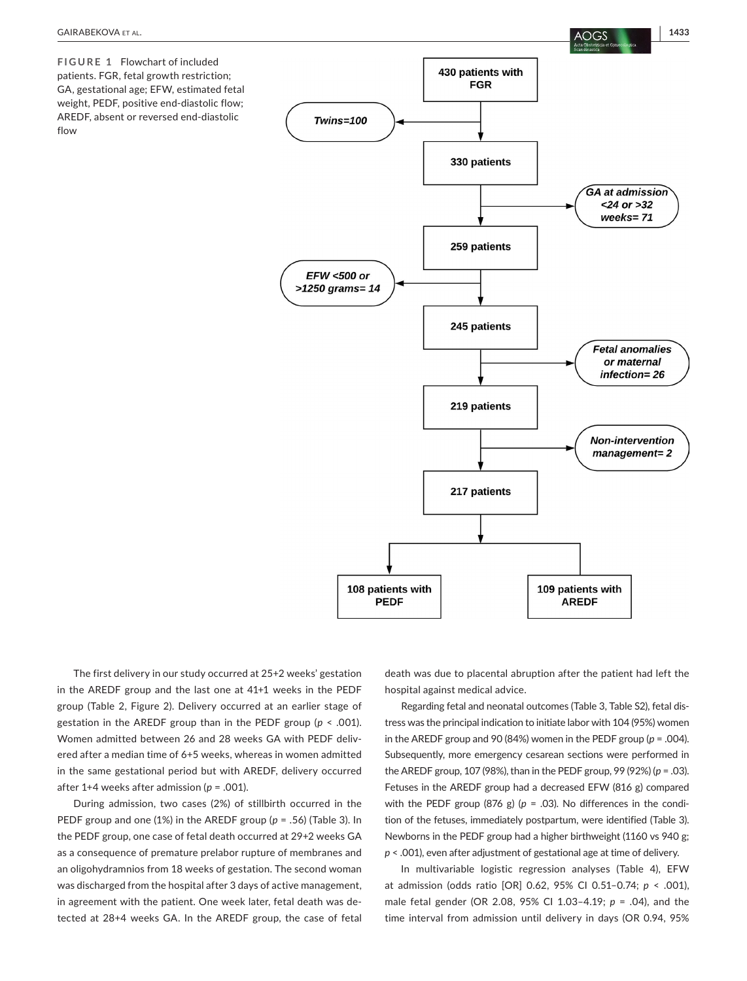

**FIGURE 1** Flowchart of included patients. FGR, fetal growth restriction; GA, gestational age; EFW, estimated fetal weight, PEDF, positive end-diastolic flow; AREDF, absent or reversed end-diastolic flow



The first delivery in our study occurred at 25+2 weeks' gestation in the AREDF group and the last one at 41+1 weeks in the PEDF group (Table 2, Figure 2). Delivery occurred at an earlier stage of gestation in the AREDF group than in the PEDF group (*p* < .001). Women admitted between 26 and 28 weeks GA with PEDF delivered after a median time of 6+5 weeks, whereas in women admitted in the same gestational period but with AREDF, delivery occurred after 1+4 weeks after admission (*p* = .001).

During admission, two cases (2%) of stillbirth occurred in the PEDF group and one (1%) in the AREDF group (*p* = .56) (Table 3). In the PEDF group, one case of fetal death occurred at 29+2 weeks GA as a consequence of premature prelabor rupture of membranes and an oligohydramnios from 18 weeks of gestation. The second woman was discharged from the hospital after 3 days of active management, in agreement with the patient. One week later, fetal death was detected at 28+4 weeks GA. In the AREDF group, the case of fetal

death was due to placental abruption after the patient had left the hospital against medical advice.

Regarding fetal and neonatal outcomes (Table 3, Table S2), fetal distress was the principal indication to initiate labor with 104 (95%) women in the AREDF group and 90 (84%) women in the PEDF group ( $p = .004$ ). Subsequently, more emergency cesarean sections were performed in the AREDF group, 107 (98%), than in the PEDF group, 99 (92%) (*p* = .03). Fetuses in the AREDF group had a decreased EFW (816 g) compared with the PEDF group (876 g) ( $p = .03$ ). No differences in the condition of the fetuses, immediately postpartum, were identified (Table 3). Newborns in the PEDF group had a higher birthweight (1160 vs 940 g; *p* < .001), even after adjustment of gestational age at time of delivery.

In multivariable logistic regression analyses (Table 4), EFW at admission (odds ratio [OR] 0.62, 95% CI 0.51–0.74; *p* < .001), male fetal gender (OR 2.08, 95% CI 1.03–4.19; *p* = .04), and the time interval from admission until delivery in days (OR 0.94, 95%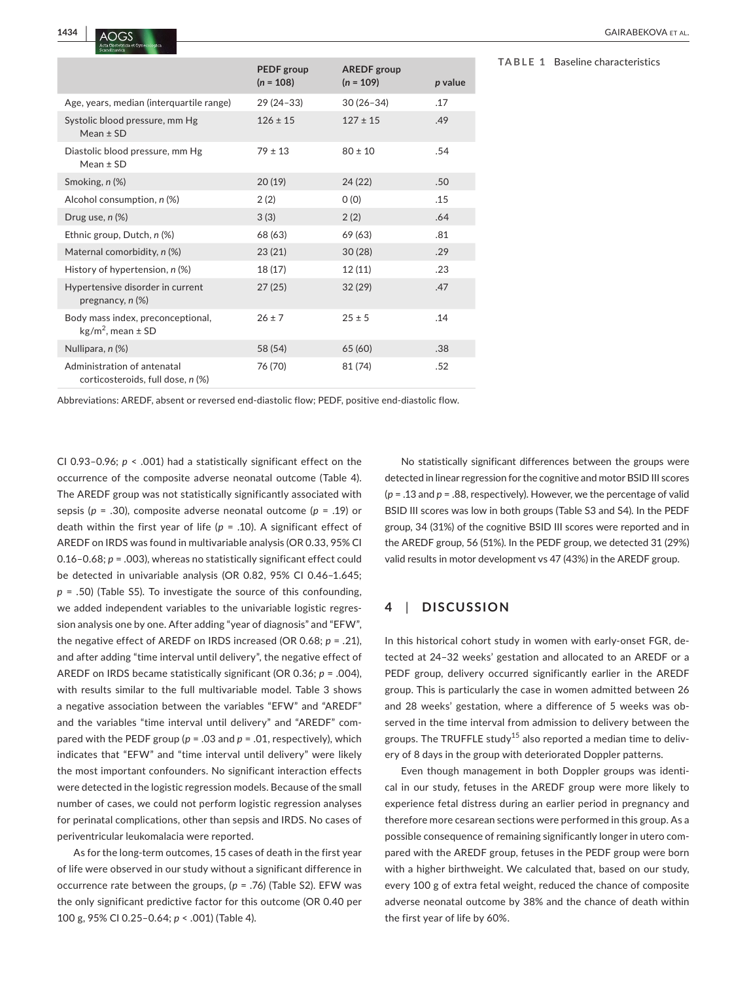|                                                                  | PEDF group<br>$(n = 108)$ | <b>AREDF</b> group<br>$(n = 109)$ | p value |
|------------------------------------------------------------------|---------------------------|-----------------------------------|---------|
| Age, years, median (interquartile range)                         | 29 (24 - 33)              | $30(26-34)$                       | .17     |
| Systolic blood pressure, mm Hg<br>Mean $\pm$ SD                  | $126 \pm 15$              | $127 \pm 15$                      | .49     |
| Diastolic blood pressure, mm Hg<br>$Mean \pm SD$                 | $79 \pm 13$               | $80 \pm 10$                       | .54     |
| Smoking, n (%)                                                   | 20(19)                    | 24 (22)                           | .50     |
| Alcohol consumption, n (%)                                       | 2(2)                      | O(0)                              | .15     |
| Drug use, $n$ $(\%)$                                             | 3(3)                      | 2(2)                              | .64     |
| Ethnic group, Dutch, n (%)                                       | 68 (63)                   | 69 (63)                           | .81     |
| Maternal comorbidity, n (%)                                      | 23(21)                    | 30(28)                            | .29     |
| History of hypertension, n (%)                                   | 18(17)                    | 12(11)                            | .23     |
| Hypertensive disorder in current<br>pregnancy, $n$ $(\%)$        | 27(25)                    | 32(29)                            | .47     |
| Body mass index, preconceptional,<br>$kg/m2$ , mean $\pm$ SD     | $26 \pm 7$                | $25 \pm 5$                        | .14     |
| Nullipara, n (%)                                                 | 58 (54)                   | 65 (60)                           | .38     |
| Administration of antenatal<br>corticosteroids, full dose, n (%) | 76 (70)                   | 81 (74)                           | .52     |

**TABLE 1** Baseline characteristics

Abbreviations: AREDF, absent or reversed end-diastolic flow; PEDF, positive end-diastolic flow.

CI 0.93–0.96; *p* < .001) had a statistically significant effect on the occurrence of the composite adverse neonatal outcome (Table 4). The AREDF group was not statistically significantly associated with sepsis (*p* = .30), composite adverse neonatal outcome (*p* = .19) or death within the first year of life ( $p = .10$ ). A significant effect of AREDF on IRDS was found in multivariable analysis (OR 0.33, 95% CI 0.16–0.68; *p* = .003), whereas no statistically significant effect could be detected in univariable analysis (OR 0.82, 95% CI 0.46–1.645; *p* = .50) (Table S5). To investigate the source of this confounding, we added independent variables to the univariable logistic regression analysis one by one. After adding "year of diagnosis" and "EFW", the negative effect of AREDF on IRDS increased (OR 0.68; *p* = .21), and after adding "time interval until delivery", the negative effect of AREDF on IRDS became statistically significant (OR 0.36; *p* = .004), with results similar to the full multivariable model. Table 3 shows a negative association between the variables "EFW" and "AREDF" and the variables "time interval until delivery" and "AREDF" compared with the PEDF group (*p* = .03 and *p* = .01, respectively), which indicates that "EFW" and "time interval until delivery" were likely the most important confounders. No significant interaction effects were detected in the logistic regression models. Because of the small number of cases, we could not perform logistic regression analyses for perinatal complications, other than sepsis and IRDS. No cases of periventricular leukomalacia were reported.

As for the long-term outcomes, 15 cases of death in the first year of life were observed in our study without a significant difference in occurrence rate between the groups, (*p* = .76) (Table S2). EFW was the only significant predictive factor for this outcome (OR 0.40 per 100 g, 95% CI 0.25–0.64; *p* < .001) (Table 4).

No statistically significant differences between the groups were detected in linear regression for the cognitive and motor BSID III scores (*p* = .13 and *p* = .88, respectively). However, we the percentage of valid BSID III scores was low in both groups (Table S3 and S4). In the PEDF group, 34 (31%) of the cognitive BSID III scores were reported and in the AREDF group, 56 (51%). In the PEDF group, we detected 31 (29%) valid results in motor development vs 47 (43%) in the AREDF group.

## **4**  | **DISCUSSION**

In this historical cohort study in women with early-onset FGR, detected at 24–32 weeks' gestation and allocated to an AREDF or a PEDF group, delivery occurred significantly earlier in the AREDF group. This is particularly the case in women admitted between 26 and 28 weeks' gestation, where a difference of 5 weeks was observed in the time interval from admission to delivery between the groups. The TRUFFLE study<sup>15</sup> also reported a median time to delivery of 8 days in the group with deteriorated Doppler patterns.

Even though management in both Doppler groups was identical in our study, fetuses in the AREDF group were more likely to experience fetal distress during an earlier period in pregnancy and therefore more cesarean sections were performed in this group. As a possible consequence of remaining significantly longer in utero compared with the AREDF group, fetuses in the PEDF group were born with a higher birthweight. We calculated that, based on our study, every 100 g of extra fetal weight, reduced the chance of composite adverse neonatal outcome by 38% and the chance of death within the first year of life by 60%.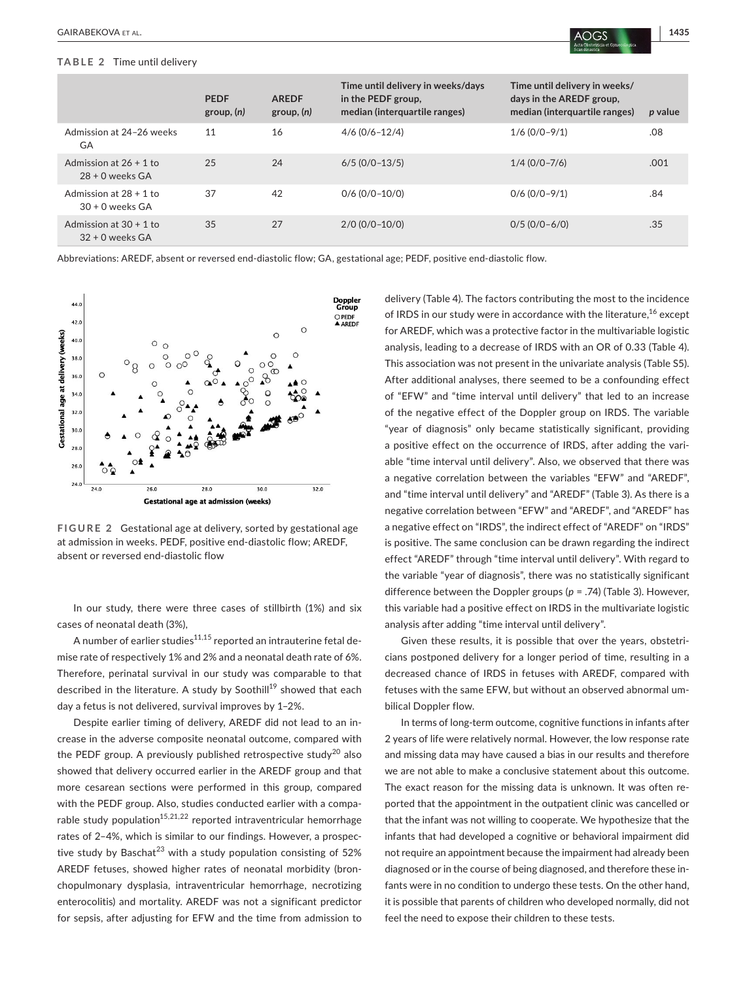#### **TABLE 2** Time until delivery

|                                                 | <b>PEDF</b><br>group, (n) | <b>AREDF</b><br>group, (n) | Time until delivery in weeks/days<br>in the PEDF group,<br>median (interquartile ranges) | Time until delivery in weeks/<br>days in the AREDF group,<br>median (interquartile ranges) | p value |
|-------------------------------------------------|---------------------------|----------------------------|------------------------------------------------------------------------------------------|--------------------------------------------------------------------------------------------|---------|
| Admission at 24-26 weeks<br>GA                  | 11                        | 16                         | $4/6$ (0/6-12/4)                                                                         | $1/6$ (0/0-9/1)                                                                            | .08     |
| Admission at $26 + 1$ to<br>$28 + 0$ weeks $GA$ | 25                        | 24                         | $6/5$ (0/0-13/5)                                                                         | $1/4$ (0/0-7/6)                                                                            | .001    |
| Admission at $28 + 1$ to<br>$30 + 0$ weeks GA   | 37                        | 42                         | $0/6$ (0/0-10/0)                                                                         | $0/6$ ( $0/0-9/1$ )                                                                        | .84     |
| Admission at $30 + 1$ to<br>$32 + 0$ weeks GA   | 35                        | 27                         | $2/0$ (0/0-10/0)                                                                         | $0/5$ (0/0-6/0)                                                                            | .35     |

Abbreviations: AREDF, absent or reversed end-diastolic flow; GA, gestational age; PEDF, positive end-diastolic flow.



**FIGURE 2** Gestational age at delivery, sorted by gestational age at admission in weeks. PEDF, positive end-diastolic flow; AREDF, absent or reversed end-diastolic flow

In our study, there were three cases of stillbirth (1%) and six cases of neonatal death (3%),

A number of earlier studies $11,15$  reported an intrauterine fetal demise rate of respectively 1% and 2% and a neonatal death rate of 6%. Therefore, perinatal survival in our study was comparable to that described in the literature. A study by Soothill<sup>19</sup> showed that each day a fetus is not delivered, survival improves by 1–2%.

Despite earlier timing of delivery, AREDF did not lead to an increase in the adverse composite neonatal outcome, compared with the PEDF group. A previously published retrospective study<sup>20</sup> also showed that delivery occurred earlier in the AREDF group and that more cesarean sections were performed in this group, compared with the PEDF group. Also, studies conducted earlier with a comparable study population<sup>15,21,22</sup> reported intraventricular hemorrhage rates of 2–4%, which is similar to our findings. However, a prospective study by Baschat<sup>23</sup> with a study population consisting of  $52\%$ AREDF fetuses, showed higher rates of neonatal morbidity (bronchopulmonary dysplasia, intraventricular hemorrhage, necrotizing enterocolitis) and mortality. AREDF was not a significant predictor for sepsis, after adjusting for EFW and the time from admission to

delivery (Table 4). The factors contributing the most to the incidence of IRDS in our study were in accordance with the literature,<sup>16</sup> except for AREDF, which was a protective factor in the multivariable logistic analysis, leading to a decrease of IRDS with an OR of 0.33 (Table 4). This association was not present in the univariate analysis (Table S5). After additional analyses, there seemed to be a confounding effect of "EFW" and "time interval until delivery" that led to an increase of the negative effect of the Doppler group on IRDS. The variable "year of diagnosis" only became statistically significant, providing a positive effect on the occurrence of IRDS, after adding the variable "time interval until delivery". Also, we observed that there was a negative correlation between the variables "EFW" and "AREDF", and "time interval until delivery" and "AREDF" (Table 3). As there is a negative correlation between "EFW" and "AREDF", and "AREDF" has a negative effect on "IRDS", the indirect effect of "AREDF" on "IRDS" is positive. The same conclusion can be drawn regarding the indirect effect "AREDF" through "time interval until delivery". With regard to the variable "year of diagnosis", there was no statistically significant difference between the Doppler groups (*p* = .74) (Table 3). However, this variable had a positive effect on IRDS in the multivariate logistic analysis after adding "time interval until delivery".

Given these results, it is possible that over the years, obstetricians postponed delivery for a longer period of time, resulting in a decreased chance of IRDS in fetuses with AREDF, compared with fetuses with the same EFW, but without an observed abnormal umbilical Doppler flow.

In terms of long-term outcome, cognitive functions in infants after 2 years of life were relatively normal. However, the low response rate and missing data may have caused a bias in our results and therefore we are not able to make a conclusive statement about this outcome. The exact reason for the missing data is unknown. It was often reported that the appointment in the outpatient clinic was cancelled or that the infant was not willing to cooperate. We hypothesize that the infants that had developed a cognitive or behavioral impairment did not require an appointment because the impairment had already been diagnosed or in the course of being diagnosed, and therefore these infants were in no condition to undergo these tests. On the other hand, it is possible that parents of children who developed normally, did not feel the need to expose their children to these tests.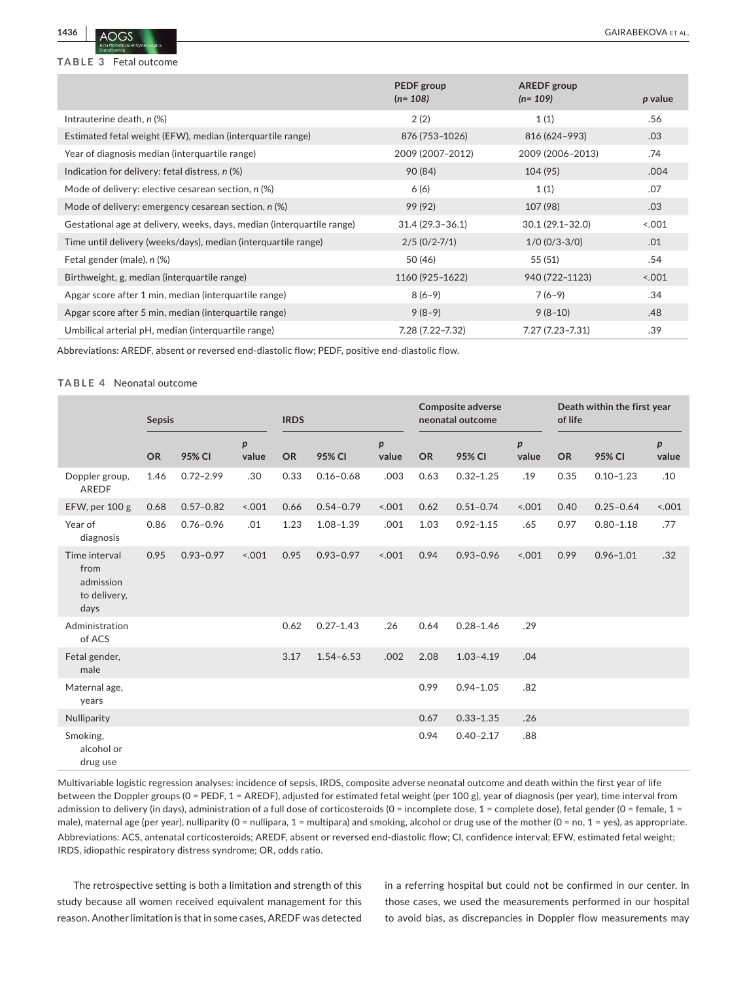

**TABLE 3** Fetal outcome

|                                                                        | PEDF group<br>$(n=108)$ | <b>AREDF</b> group<br>$(n=109)$ | p value |
|------------------------------------------------------------------------|-------------------------|---------------------------------|---------|
| Intrauterine death, n (%)                                              | 2(2)                    | 1(1)                            | .56     |
| Estimated fetal weight (EFW), median (interquartile range)             | 876 (753-1026)          | 816 (624-993)                   | .03     |
| Year of diagnosis median (interquartile range)                         | 2009 (2007-2012)        | 2009 (2006-2013)                | .74     |
| Indication for delivery: fetal distress, n (%)                         | 90 (84)                 | 104(95)                         | .004    |
| Mode of delivery: elective cesarean section, n (%)                     | 6(6)                    | 1(1)                            | .07     |
| Mode of delivery: emergency cesarean section, $n$ (%)                  | 99 (92)                 | 107 (98)                        | .03     |
| Gestational age at delivery, weeks, days, median (interquartile range) | $31.4(29.3-36.1)$       | $30.1(29.1 - 32.0)$             | 001     |
| Time until delivery (weeks/days), median (interquartile range)         | $2/5$ (0/2-7/1)         | $1/0$ (0/3-3/0)                 | .01     |
| Fetal gender (male), n (%)                                             | 50 (46)                 | 55 (51)                         | .54     |
| Birthweight, g, median (interquartile range)                           | 1160 (925-1622)         | 940 (722-1123)                  | 5.001   |
| Apgar score after 1 min, median (interquartile range)                  | $8(6-9)$                | $7(6-9)$                        | .34     |
| Apgar score after 5 min, median (interquartile range)                  | $9(8-9)$                | $9(8-10)$                       | .48     |
| Umbilical arterial pH, median (interquartile range)                    | 7.28 (7.22-7.32)        | 7.27 (7.23-7.31)                | .39     |

Abbreviations: AREDF, absent or reversed end-diastolic flow; PEDF, positive end-diastolic flow.

#### **TABLE 4** Neonatal outcome

|                                                            | <b>Sepsis</b> |               |                           | <b>IRDS</b> |               |            | <b>Composite adverse</b><br>neonatal outcome |               |                           | Death within the first year<br>of life |               |                           |
|------------------------------------------------------------|---------------|---------------|---------------------------|-------------|---------------|------------|----------------------------------------------|---------------|---------------------------|----------------------------------------|---------------|---------------------------|
|                                                            | <b>OR</b>     | 95% CI        | $\boldsymbol{p}$<br>value | <b>OR</b>   | 95% CI        | p<br>value | <b>OR</b>                                    | 95% CI        | $\boldsymbol{p}$<br>value | <b>OR</b>                              | 95% CI        | $\boldsymbol{p}$<br>value |
| Doppler group,<br><b>AREDF</b>                             | 1.46          | $0.72 - 2.99$ | .30                       | 0.33        | $0.16 - 0.68$ | .003       | 0.63                                         | $0.32 - 1.25$ | .19                       | 0.35                                   | $0.10 - 1.23$ | .10                       |
| EFW, per 100 g                                             | 0.68          | $0.57 - 0.82$ | 5.001                     | 0.66        | $0.54 - 0.79$ | < .001     | 0.62                                         | $0.51 - 0.74$ | < .001                    | 0.40                                   | $0.25 - 0.64$ | 5.001                     |
| Year of<br>diagnosis                                       | 0.86          | $0.76 - 0.96$ | .01                       | 1.23        | $1.08 - 1.39$ | .001       | 1.03                                         | $0.92 - 1.15$ | .65                       | 0.97                                   | $0.80 - 1.18$ | .77                       |
| Time interval<br>from<br>admission<br>to delivery,<br>days | 0.95          | $0.93 - 0.97$ | 5.001                     | 0.95        | $0.93 - 0.97$ | < .001     | 0.94                                         | $0.93 - 0.96$ | < .001                    | 0.99                                   | $0.96 - 1.01$ | .32                       |
| Administration<br>of ACS                                   |               |               |                           | 0.62        | $0.27 - 1.43$ | .26        | 0.64                                         | $0.28 - 1.46$ | .29                       |                                        |               |                           |
| Fetal gender,<br>male                                      |               |               |                           | 3.17        | $1.54 - 6.53$ | .002       | 2.08                                         | $1.03 - 4.19$ | .04                       |                                        |               |                           |
| Maternal age,<br>years                                     |               |               |                           |             |               |            | 0.99                                         | $0.94 - 1.05$ | .82                       |                                        |               |                           |
| Nulliparity                                                |               |               |                           |             |               |            | 0.67                                         | $0.33 - 1.35$ | .26                       |                                        |               |                           |
| Smoking,<br>alcohol or<br>drug use                         |               |               |                           |             |               |            | 0.94                                         | $0.40 - 2.17$ | .88                       |                                        |               |                           |

Multivariable logistic regression analyses: incidence of sepsis, IRDS, composite adverse neonatal outcome and death within the first year of life between the Doppler groups (0 = PEDF, 1 = AREDF), adjusted for estimated fetal weight (per 100 g), year of diagnosis (per year), time interval from admission to delivery (in days), administration of a full dose of corticosteroids (0 = incomplete dose, 1 = complete dose), fetal gender (0 = female, 1 = male), maternal age (per year), nulliparity (0 = nullipara, 1 = multipara) and smoking, alcohol or drug use of the mother (0 = no, 1 = yes), as appropriate. Abbreviations: ACS, antenatal corticosteroids; AREDF, absent or reversed end-diastolic flow; CI, confidence interval; EFW, estimated fetal weight; IRDS, idiopathic respiratory distress syndrome; OR, odds ratio.

The retrospective setting is both a limitation and strength of this study because all women received equivalent management for this reason. Another limitation is that in some cases, AREDF was detected in a referring hospital but could not be confirmed in our center. In those cases, we used the measurements performed in our hospital to avoid bias, as discrepancies in Doppler flow measurements may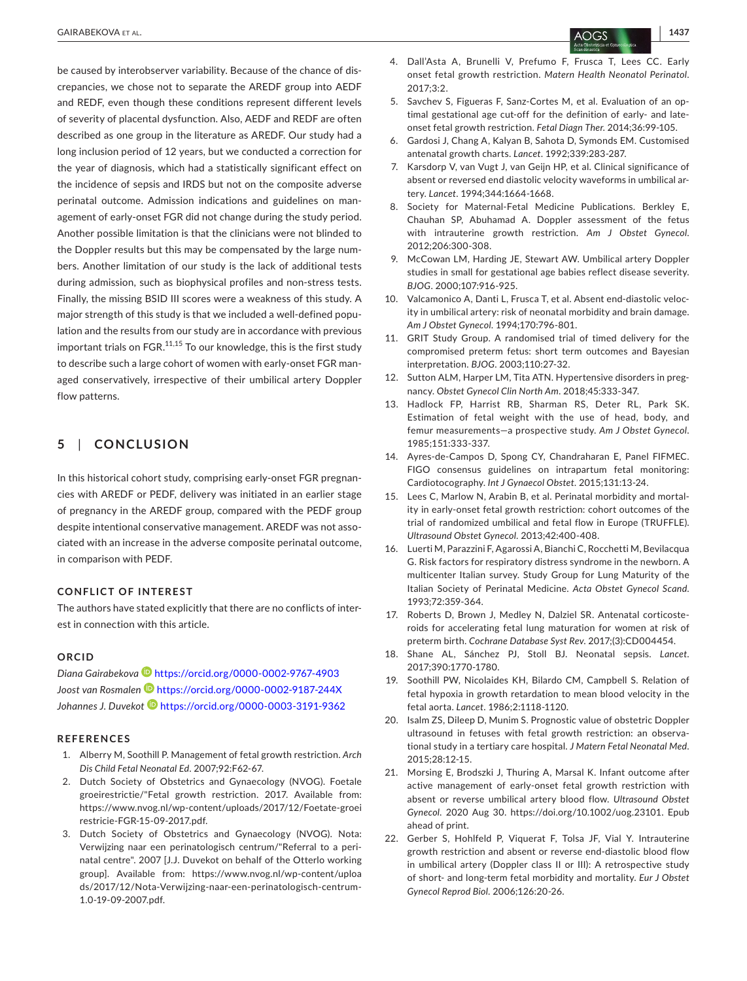be caused by interobserver variability. Because of the chance of discrepancies, we chose not to separate the AREDF group into AEDF and REDF, even though these conditions represent different levels of severity of placental dysfunction. Also, AEDF and REDF are often described as one group in the literature as AREDF. Our study had a long inclusion period of 12 years, but we conducted a correction for the year of diagnosis, which had a statistically significant effect on the incidence of sepsis and IRDS but not on the composite adverse perinatal outcome. Admission indications and guidelines on management of early-onset FGR did not change during the study period. Another possible limitation is that the clinicians were not blinded to the Doppler results but this may be compensated by the large numbers. Another limitation of our study is the lack of additional tests during admission, such as biophysical profiles and non-stress tests. Finally, the missing BSID III scores were a weakness of this study. A major strength of this study is that we included a well-defined population and the results from our study are in accordance with previous important trials on  $FGR$ .<sup>11,15</sup> To our knowledge, this is the first study to describe such a large cohort of women with early-onset FGR managed conservatively, irrespective of their umbilical artery Doppler flow patterns.

## **5**  | **CONCLUSION**

In this historical cohort study, comprising early-onset FGR pregnancies with AREDF or PEDF, delivery was initiated in an earlier stage of pregnancy in the AREDF group, compared with the PEDF group despite intentional conservative management. AREDF was not associated with an increase in the adverse composite perinatal outcome, in comparison with PEDF.

#### **CONFLICT OF INTEREST**

The authors have stated explicitly that there are no conflicts of interest in connection with this article.

#### **ORCID**

*Diana Gairabekova* <https://orcid.org/0000-0002-9767-4903> *Joost van Rosmalen* <https://orcid.org/0000-0002-9187-244X> *Johannes J. Duveko[t](https://orcid.org/0000-0003-3191-9362)* <https://orcid.org/0000-0003-3191-9362>

#### **REFERENCES**

- 1. Alberry M, Soothill P. Management of fetal growth restriction. *Arch Dis Child Fetal Neonatal Ed*. 2007;92:F62-67.
- 2. Dutch Society of Obstetrics and Gynaecology (NVOG). Foetale groeirestrictie/"Fetal growth restriction. 2017. Available from: [https://www.nvog.nl/wp-content/uploads/2017/12/Foetate-groei](https://www.nvog.nl/wp-content/uploads/2017/12/Foetate-groeirestricie-FGR-15-09-2017.pdf) [restricie-FGR-15-09-2017.pdf.](https://www.nvog.nl/wp-content/uploads/2017/12/Foetate-groeirestricie-FGR-15-09-2017.pdf)
- 3. Dutch Society of Obstetrics and Gynaecology (NVOG). Nota: Verwijzing naar een perinatologisch centrum/"Referral to a perinatal centre". 2007 [J.J. Duvekot on behalf of the Otterlo working group]. Available from: [https://www.nvog.nl/wp-content/uploa](https://www.nvog.nl/wp-content/uploads/2017/12/Nota-Verwijzing-naar-een-perinatologisch-centrum-1.0-19-09-2007.pdf) [ds/2017/12/Nota-Verwijzing-naar-een-perinatologisch-centrum-](https://www.nvog.nl/wp-content/uploads/2017/12/Nota-Verwijzing-naar-een-perinatologisch-centrum-1.0-19-09-2007.pdf)[1.0-19-09-2007.pdf.](https://www.nvog.nl/wp-content/uploads/2017/12/Nota-Verwijzing-naar-een-perinatologisch-centrum-1.0-19-09-2007.pdf)
- 4. Dall'Asta A, Brunelli V, Prefumo F, Frusca T, Lees CC. Early onset fetal growth restriction. *Matern Health Neonatol Perinatol*. 2017;3:2.
- 5. Savchev S, Figueras F, Sanz-Cortes M, et al. Evaluation of an optimal gestational age cut-off for the definition of early- and lateonset fetal growth restriction. *Fetal Diagn Ther*. 2014;36:99-105.
- 6. Gardosi J, Chang A, Kalyan B, Sahota D, Symonds EM. Customised antenatal growth charts. *Lancet*. 1992;339:283-287.
- 7. Karsdorp V, van Vugt J, van Geijn HP, et al. Clinical significance of absent or reversed end diastolic velocity waveforms in umbilical artery. *Lancet*. 1994;344:1664-1668.
- 8. Society for Maternal-Fetal Medicine Publications. Berkley E, Chauhan SP, Abuhamad A. Doppler assessment of the fetus with intrauterine growth restriction. *Am J Obstet Gynecol*. 2012;206:300-308.
- 9. McCowan LM, Harding JE, Stewart AW. Umbilical artery Doppler studies in small for gestational age babies reflect disease severity. *BJOG*. 2000;107:916-925.
- 10. Valcamonico A, Danti L, Frusca T, et al. Absent end-diastolic velocity in umbilical artery: risk of neonatal morbidity and brain damage. *Am J Obstet Gynecol*. 1994;170:796-801.
- 11. GRIT Study Group. A randomised trial of timed delivery for the compromised preterm fetus: short term outcomes and Bayesian interpretation. *BJOG*. 2003;110:27-32.
- 12. Sutton ALM, Harper LM, Tita ATN. Hypertensive disorders in pregnancy. *Obstet Gynecol Clin North Am*. 2018;45:333-347.
- 13. Hadlock FP, Harrist RB, Sharman RS, Deter RL, Park SK. Estimation of fetal weight with the use of head, body, and femur measurements—a prospective study. *Am J Obstet Gynecol*. 1985;151:333-337.
- 14. Ayres-de-Campos D, Spong CY, Chandraharan E, Panel FIFMEC. FIGO consensus guidelines on intrapartum fetal monitoring: Cardiotocography. *Int J Gynaecol Obstet*. 2015;131:13-24.
- 15. Lees C, Marlow N, Arabin B, et al. Perinatal morbidity and mortality in early-onset fetal growth restriction: cohort outcomes of the trial of randomized umbilical and fetal flow in Europe (TRUFFLE). *Ultrasound Obstet Gynecol*. 2013;42:400-408.
- 16. Luerti M, Parazzini F, Agarossi A, Bianchi C, Rocchetti M, Bevilacqua G. Risk factors for respiratory distress syndrome in the newborn. A multicenter Italian survey. Study Group for Lung Maturity of the Italian Society of Perinatal Medicine. *Acta Obstet Gynecol Scand*. 1993;72:359-364.
- 17. Roberts D, Brown J, Medley N, Dalziel SR. Antenatal corticosteroids for accelerating fetal lung maturation for women at risk of preterm birth. *Cochrane Database Syst Rev*. 2017;(3):CD004454.
- 18. Shane AL, Sánchez PJ, Stoll BJ. Neonatal sepsis. *Lancet*. 2017;390:1770-1780.
- 19. Soothill PW, Nicolaides KH, Bilardo CM, Campbell S. Relation of fetal hypoxia in growth retardation to mean blood velocity in the fetal aorta. *Lancet*. 1986;2:1118-1120.
- 20. Isalm ZS, Dileep D, Munim S. Prognostic value of obstetric Doppler ultrasound in fetuses with fetal growth restriction: an observational study in a tertiary care hospital. *J Matern Fetal Neonatal Med*. 2015;28:12-15.
- 21. Morsing E, Brodszki J, Thuring A, Marsal K. Infant outcome after active management of early-onset fetal growth restriction with absent or reverse umbilical artery blood flow. *Ultrasound Obstet Gynecol*. 2020 Aug 30. <https://doi.org/10.1002/uog.23101>. Epub ahead of print.
- 22. Gerber S, Hohlfeld P, Viquerat F, Tolsa JF, Vial Y. Intrauterine growth restriction and absent or reverse end-diastolic blood flow in umbilical artery (Doppler class II or III): A retrospective study of short- and long-term fetal morbidity and mortality. *Eur J Obstet Gynecol Reprod Biol*. 2006;126:20-26.